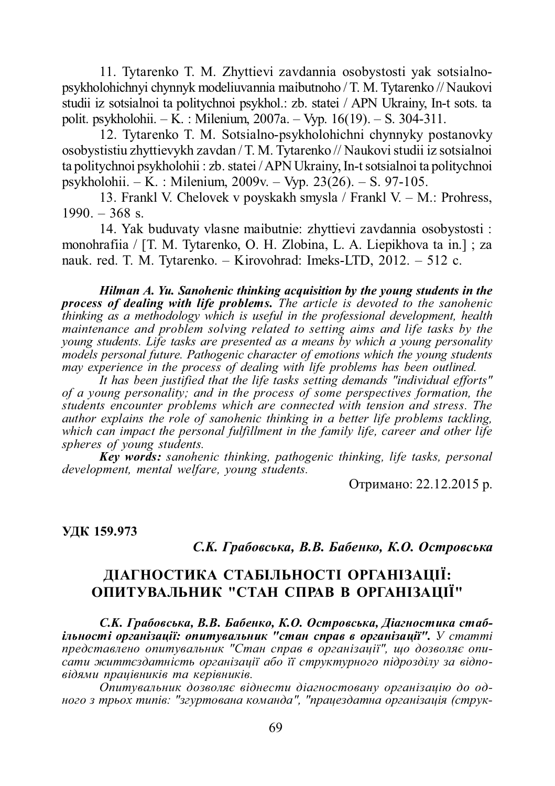11. Tytarenko T. M. Zhyttievi zavdannia osobystosti yak sotsialnopsykholohichnyi chynnyk modeliuvannia maibutnoho / T. M. Tytarenko // Naukovi studii iz sotsialnoi ta politychnoi psykhol.: zb. statei / APN Ukrainy, In-t sots. ta polit. psykholohii. – K. : Milenium, 2007a. – Vyp. 16(19). – S. 304-311.

12. Tytarenko T. M. Sotsialno-psykholohichni chynnyky postanovky osobystistiu zhyttievykh zavdan / T. M. Tytarenko // Naukovi studii iz sotsialnoi ta politychnoi psykholohii : zb. statei / APN Ukrainy, In-t sotsialnoi ta politychnoi psykholohii. – K. : Milenium, 2009v. – Vyp. 23(26). – S. 97-105.

13. Frankl V. Chelovek v poyskakh smysla / Frankl V. – M.: Prohress,  $1990. - 368$  s.

14. Yak buduvaty vlasne maibutnie: zhyttievi zavdannia osobystosti : monohrafiia / [T. M. Tytarenko, O. H. Zlobina, L. A. Liepikhova ta in.] ; za nauk. red. T. M. Tytarenko. – Kirovohrad: Imeks-LTD, 2012. – 512 c.

*Hilman A. Yu. Sanohenic thinking acquisition by the young students in the process of dealing with life problems. The article is devoted to the sanohenic thinking as a methodology which is useful in the professional development, health maintenance and problem solving related to setting aims and life tasks by the young students. Life tasks are presented as a means by which a young personality models personal future. Pathogenic character of emotions which the young students may experience in the process of dealing with life problems has been outlined.*

*It has been justified that the life tasks setting demands "individual efforts" of a young personality; and in the process of some perspectives formation, the students encounter problems which are connected with tension and stress. The author explains the role of sanohenic thinking in a better life problems tackling, which can impact the personal fulfillment in the family life, career and other life spheres of young students.*

*Key words: sanohenic thinking, pathogenic thinking, life tasks, personal development, mental welfare, young students.*

Отримано: 22.12.2015 р.

#### **ɍȾɄ 159.973**

## *С.К. Грабовська, В.В. Бабенко, К.О. Островська*

# ДІАГНОСТИКА СТАБІЛЬНОСТІ ОРГАНІЗАЦІЇ: ОПИТУВАЛЬНИК "СТАН СПРАВ В ОРГАНІЗАЦІЇ"

С.К. Грабовська, В.В. Бабенко, К.О. Островська, Діагностика стаб $i$ **льності організації: опитувальник "стан справ в організації".** У статті представлено опитувальник "Стан справ в організації", що дозволяє опи $c$ ати життєздатність організації або її структурного підрозділу за відпо $e$ *iдями працівників та керівників.* 

Опитувальник дозволяє віднести діагностовану організацію до од $h$ ого з трьох типів: "згуртована команда", "працездатна організація (струк-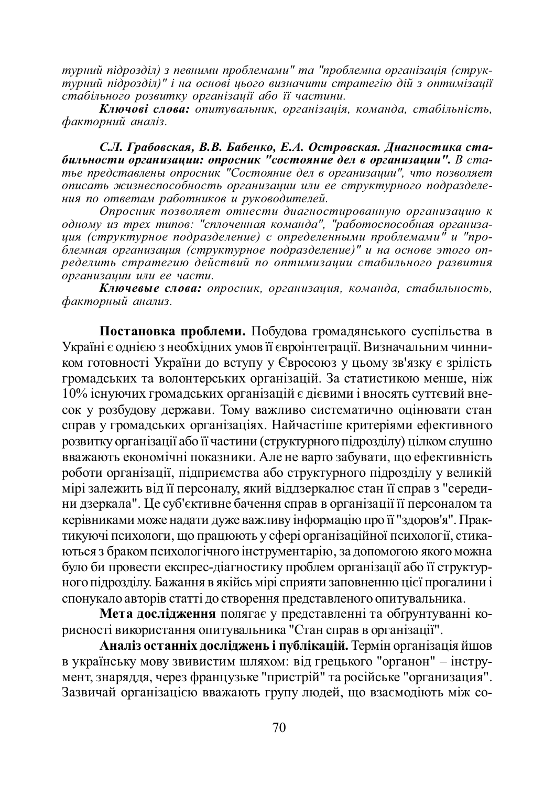$m$ vрний підрозділ) з певними проблемами" та "проблемна організація (струк- $\overrightarrow{m}$ vрний підрозділ)" *і на основі иього визначити* стратегію дій з оптимізації *cmабільного розвитку організації або її частини*.

Kлючові слова: опитувальник, організація, команда, стабільність,  $\phi$ акторний аналіз.

С.Л. Грабовская, В.В. Бабенко, Е.А. Островская. Диагностика ста- $6u$ льности организации: опросник "состояние дел в организации". В статье представлены опросник "Состояние дел в организации", что позволяет *ыписать жизнеспособность организации или ее структурного подразделения по ответам работников и руководителей.* 

*Ɉɩɪɨɫɧɢɤ ɩɨɡɜɨɥɹɟɬ ɨɬɧɟɫɬɢ ɞɢɚɝɧɨɫɬɢɪɨɜɚɧɧɭɸ ɨɪɝɚɧɢɡɚɰɢɸ ɤ*  $o\partial$ ному из трех типов: "сплоченная команда", "работоспособная организа $y\mu$ я (структурное подразделение) с определенными проблемами" и "про-<del>уил (структурное нооризоснонно) с спресснонными просношати и про</del> peделить стратегию действий по оптимизации стабильного развития **b**организации или ее части.

Kлючевые слова: опросник, организация, команда, стабильность,  $d$ акторный анализ.

Постановка проблеми. Побудова громадянського суспільства в Україні є однією з необхідних умов її євроінтеграції. Визначальним чинником готовності України до вступу у Євросоюз у цьому зв'язку є зрілість громадських та волонтерських організацій. За статистикою менше, ніж 10% існуючих громадських організацій є дієвими і вносять суттєвий внесок у розбудову держави. Тому важливо систематично оцінювати стан справ у громадських організаціях. Найчастіше критеріями ефективного розвитку організації або її частини (структурного підрозділу) цілком слушно • вважають економічні показники. Але не варто забувати, що ефективність роботи організації, підприємства або структурного підрозділу у великій мірі залежить від її персоналу, який віддзеркалює стан її справ з "середини дзеркала". Це суб'єктивне бачення справ в організації її персоналом та керівниками може надати дуже важливу інформацію про її "здоров'я". Прак-TИКУЮЧІ ПСИХОЛОГИ, ЩО ПРАЦЮЮТЬ У СФЕРІ ОРГАНІЗАЦІЙНОЇ ПСИХОЛОГІЇ, СТИКАь тыся з браком психологічного інструментарію, за допомогою якого можна було би провести експрес-діагностику проблем організації або її структур-НОГО ПІДРОЗДІЛУ. Бажання в якійсь мірі сприяти заповненню цієї прогалини і спонукало авторів статті до створення представленого опитувальника.

Мета дослідження полягає у представленні та обтрунтуванні корисності використання опитувальника "Стан справ в організації".

Аналіз останніх досліджень і публікацій. Термін організація йшов в українську мову звивистим шляхом: від грецького "органон" – інстру-У и стать уведия, через французьке "пристрій" та російське "организация". Зазвичай організацією вважають групу людей, що взаємодіють між со-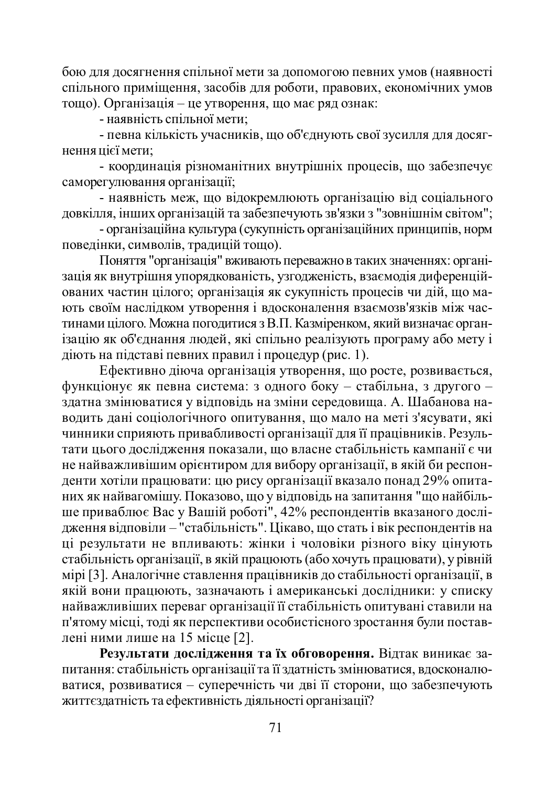бою для досягнення спільної мети за допомогою певних умов (наявності спільного приміщення, засобів для роботи, правових, економічних умов тощо). Організація – це утворення, що має ряд ознак:

- наявність спільної мети:

- певна кількість учасників, що об'єднують свої зусилля для досягнення пієї мети:

- координація різноманітних внутрішніх процесів, що забезпечує caморегулювання організації:

- наявність меж, що відокремлюють організацію від соціального довкілля, інших організацій та забезпечують зв'язки з "зовнішнім світом";

- організаційна культура (сукупність організаційних принципів, норм повелінки, символів, тралицій тошо).

Поняття "організація" вживають переважно в таких значеннях: організація як внутрішня упорядкованість, узгодженість, взаємодія диференційованих частин цілого; організація як сукупність процесів чи дій, що мають своїм наслідком утворення і вдосконалення взаємозв'язків між частинами цілого. Можна погодитися з В.П. Казміренком, який визначає організацію як об'єднання людей, які спільно реалізують програму або мету і діють на підставі певних правил і процедур (рис. 1).

Eфективно діюча організація утворення, що росте, розвивається, функціонує як певна система: з одного боку – стабільна, з другого – ɡɞɚɬɧɚɡɦɿɧɸɜɚɬɢɫɹɭɜɿɞɩɨɜɿɞɶɧɚɡɦɿɧɢɫɟɪɟɞɨɜɢɳɚ. Ⱥ. ɒɚɛɚɧɨɜɚɧɚводить дані соціологічного опитування, що мало на меті з'ясувати, які чинники сприяють привабливості організації для її працівників. Результати цього дослідження показали, що власне стабільність кампанії є чи не найважливішим орієнтиром для вибору організації, в якій би респонденти хотіли працювати: цю рису організації вказало понад 29% опитаних як найвагомішу. Показово, що у відповідь на запитання "що найбільше приваблює Вас у Вашій роботі", 42% респондентів вказаного дослідження відповіли – "стабільність". Цікаво, що стать і вік респондентів на ці результати не впливають: жінки і чоловіки різного віку цінують стабільність організації, в якій працюють (або хочуть працювати), у рівній мірі [3]. Аналогічне ставлення працівників до стабільності організації, в якій вони працюють, зазначають і американські дослідники: у списку найважливіших переваг організації її стабільність опитувані ставили на п'ятому місці, тоді як перспективи особистісного зростання були поставлені ними лише на 15 місце [2].

Результати дослідження та їх обговорення. Відтак виникає запитання: стабільність організації та її здатність змінюватися, вдосконалюватися, розвиватися – суперечність чи дві її сторони, що забезпечують життєздатність та ефективність діяльності організації?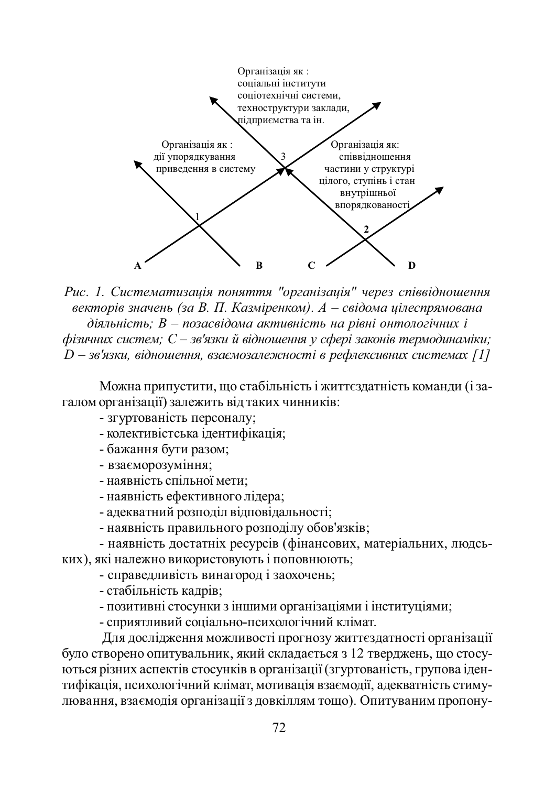

Рис. 1. Систематизація поняття "організація" через співвідношення  $B_3a$  *B. П. Казміренком). А – свідома иілеспрямована*  $\delta$ iяльнiсть; B – позасвідома активність на рівні онтологічних і  $\phi$ ізичних систем; С – зв'язки й відношення у сфері законів термодинаміки;  $D$  – зв'язки, відношення, взаємозалежності в рефлексивних системах [1]

Можна припустити, що стабільність і життєздатність команди (і загалом організації) залежить від таких чинників:

- згуртованість персоналу;

- колективістська ідентифікація;

- бажання бути разом;

- взаєморозуміння;

- наявність спільної мети:

- наявність ефективного лідера:

- адекватний розподіл відповідальності;

- наявність правильного розподілу обов'язків;

- наявність достатніх ресурсів (фінансових, матеріальних, людських), які належно використовують і поповнюють;

- справедливість винагород і заохочень;

- стабільність кадрів;

- позитивні стосунки з іншими організаціями і інституціями;

- сприятливий соціально-психологічний клімат.

Для дослідження можливості прогнозу життєздатності організації було створено опитувальник, який складається з 12 тверджень, що стосуються різних аспектів стосунків в організації (згуртованість, групова ідентифікація, психологічний клімат, мотивація взаємодії, адекватність стимулювання, взаємодія організації з довкіллям тощо). Опитуваним пропону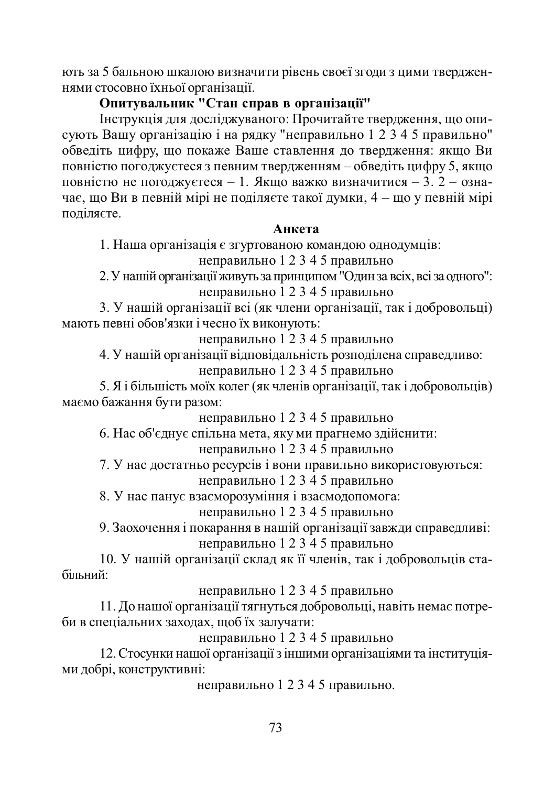ють за 5 бальною шкалою визначити рівень своєї згоди з цими твердженнями стосовно їхньої організації.

# **Ɉɩɢɬɭɜɚɥɶɧɢɤ "ɋɬɚɧɫɩɪɚɜɜɨɪɝɚɧɿɡɚɰɿʀ"**

Інструкція для досліджуваного: Прочитайте твердження, що описують Вашу організацію і на рядку "неправильно 1 2 3 4 5 правильно" обведіть цифру, що покаже Ваше ставлення до твердження: якщо Ви повністю погоджуєтеся з певним твердженням – обведіть цифру 5, якщо повністю не поголжуєтеся – 1. Якшо важко визначитися – 3. 2 – означає, що Ви в певній мірі не поділяєте такої думки, 4 – що у певній мірі поліляєте.

## **Анкета**

1. Наша організація є згуртованою командою однодумців: неправильно 1 2 3 4 5 правильно

2. У нашій організації живуть за принципом "Один за всіх, всі за одного": неправильно  $\overline{1}$  2 3 4 5 правильно

3. У нашій організації всі (як члени організації, так і добровольці) мають певні обов'язки і чесно їх виконують:

неправильно 1 2 3 4 5 правильно

4. У нашій організації відповідальність розподілена справедливо: неправильно 1 2 3 4 5 правильно

5. Я і більшість моїх колег (як членів організації, так і добровольців) маємо бажання бути разом:

неправильно 1 2 3 4 5 правильно

6. Нас об'єднує спільна мета, яку ми прагнемо здійснити:

неправильно 1 2 3 4 5 правильно

7. У нас достатньо ресурсів і вони правильно використовуються:

неправильно 1 2 3 4 5 правильно

8. У нас панує взаєморозуміння і взаємодопомога:

неправильно 1 2 3 4 5 правильно

9. Заохочення і покарання в нашій організації завжди справедливі: неправильно 1 2 3 4 5 правильно

10. У нашій організації склад як її членів, так і добровольців стабільний<sup>.</sup>

неправильно 1 2 3 4 5 правильно

11. До нашої організації тягнуться добровольці, навіть немає потреби в спеціальних заходах, щоб їх залучати:

неправильно 1 2 3 4 5 правильно

12. Стосунки нашої організації з іншими організаціями та інституціями добрі, конструктивні:

неправильно 1 2 3 4 5 правильно.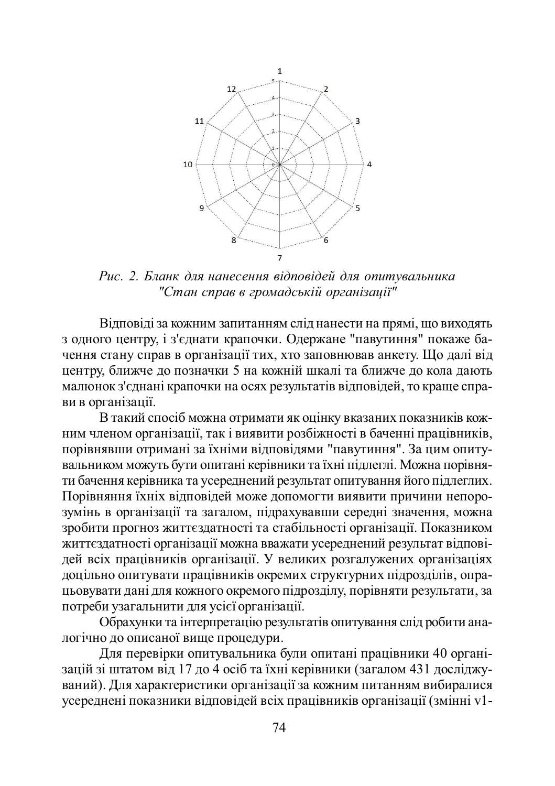

Рис. 2. Бланк для нанесення відповідей для опитувальника *ɋɬɚɧɫɩɪɚɜɜɝɪɨɦɚɞɫɶɤɿɣɨɪɝɚɧɿɡɚɰɿʀ"*

Відповіді за кожним запитанням слід нанести на прямі, що виходять з одного центру, і з'єднати крапочки. Одержане "павутиння" покаже бачення стану справ в організації тих, хто заповнював анкету. Що далі від центру, ближче до позначки 5 на кожній шкалі та ближче до кола дають малюнок з'єднані крапочки на осях результатів відповідей, то краще справи в організації.

В такий спосіб можна отримати як оцінку вказаних показників кожним членом організації, так і виявити розбіжності в баченні працівників, порівнявши отримані за їхніми відповідями "павутиння". За цим опитувальником можуть бути опитані керівники та їхні підлеглі. Можна порівняти бачення керівника та усереднений результат опитування його підлеглих. Порівняння їхніх відповідей може допомогти виявити причини непорозумінь в організації та загалом, підрахувавши середні значення, можна зробити прогноз життєздатності та стабільності організації. Показником життєздатності організації можна вважати усереднений результат відповідей всіх працівників організації. У великих розгалужених організаціях доцільно опитувати працівників окремих структурних підрозділів, опрацьовувати дані для кожного окремого підрозділу, порівняти результати, за потреби узагальнити для усієї організації.

Обрахунки та інтерпретацію результатів опитування слід робити аналогічно до описаної вище процедури.

Для перевірки опитувальника були опитані працівники 40 організацій зі штатом від 17 до 4 осіб та їхні керівники (загалом 431 досліджуваний). Для характеристики організації за кожним питанням вибиралися усереднені показники відповідей всіх працівників організації (змінні v1-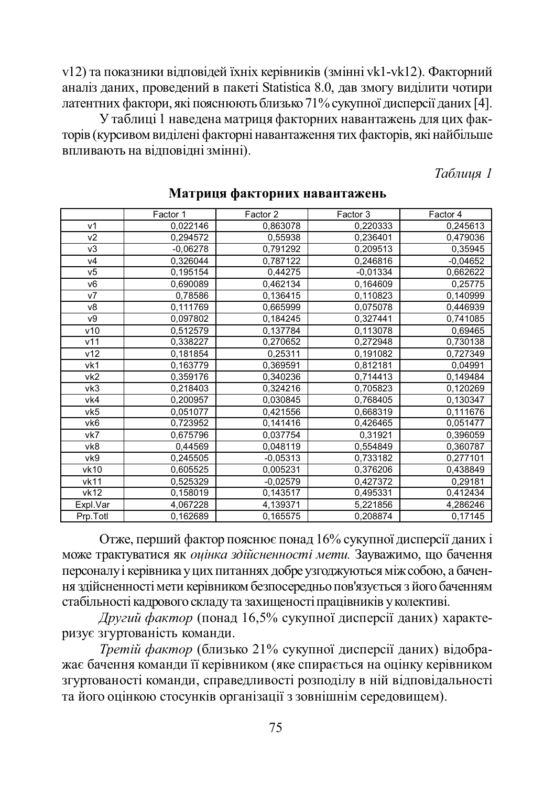v12) та показники відповідей їхніх керівників (змінні vk1-vk12). Факторний аналіз даних, проведений в пакеті Statistica 8.0, дав змогу виділити чотири латентних фактори, які пояснюють близько 71% сукупної дисперсії даних [4].

У таблиці 1 наведена матриця факторних навантажень для цих факторів (курсивом виділені факторні навантаження тих факторів, які найбільше **впливають на відповідні змінні).** 

### *Таблиця 1*

|                 | Factor 1   | Factor 2   | Factor 3   | Factor 4   |
|-----------------|------------|------------|------------|------------|
| v <sub>1</sub>  | 0,022146   | 0,863078   | 0,220333   | 0,245613   |
| v <sub>2</sub>  | 0,294572   | 0,55938    | 0,236401   | 0,479036   |
| v3              | $-0,06278$ | 0,791292   | 0,209513   | 0,35945    |
| V <sub>4</sub>  | 0,326044   | 0,787122   | 0,246816   | $-0,04652$ |
| V <sub>5</sub>  | 0,195154   | 0,44275    | $-0,01334$ | 0,662622   |
| V <sub>6</sub>  | 0,690089   | 0,462134   | 0,164609   | 0,25775    |
| V <sub>7</sub>  | 0,78586    | 0,136415   | 0,110823   | 0,140999   |
| v8              | 0,111769   | 0,665999   | 0,075078   | 0,446939   |
| v9              | 0,097802   | 0,184245   | 0,327441   | 0,741085   |
| v10             | 0,512579   | 0,137784   | 0,113078   | 0,69465    |
| v11             | 0,338227   | 0,270652   | 0,272948   | 0,730138   |
| v12             | 0,181854   | 0,25311    | 0,191082   | 0,727349   |
| vk1             | 0,163779   | 0,369591   | 0,812181   | 0,04991    |
| vk <sub>2</sub> | 0,359176   | 0,340236   | 0,714413   | 0,149484   |
| vk3             | 0,218403   | 0,324216   | 0,705823   | 0,120269   |
| vk4             | 0,200957   | 0,030845   | 0,768405   | 0,130347   |
| vk5             | 0,051077   | 0,421556   | 0,668319   | 0,111676   |
| vk6             | 0,723952   | 0,141416   | 0,426465   | 0,051477   |
| vk7             | 0,675796   | 0,037754   | 0,31921    | 0,396059   |
| vk8             | 0,44569    | 0,048119   | 0,554849   | 0,360787   |
| vk9             | 0,245505   | $-0,05313$ | 0,733182   | 0,277101   |
| vk10            | 0,605525   | 0,005231   | 0,376206   | 0,438849   |
| vk11            | 0,525329   | $-0,02579$ | 0,427372   | 0,29181    |
| vk12            | 0,158019   | 0,143517   | 0,495331   | 0,412434   |
| Expl.Var        | 4,067228   | 4,139371   | 5,221856   | 4,286246   |
| Prp.Totl        | 0,162689   | 0,165575   | 0,208874   | 0,17145    |

### Матриця факторних навантажень

Отже, перший фактор пояснює понад 16% сукупної дисперсії даних і може трактуватися як оцінка здійсненності мети. Зауважимо, що бачення персоналу і керівника у цих питаннях добре узгоджуються між собою, а бачення здійсненності мети керівником безпосередньо пов'язується з його баченням стабільності кадрового складу та захищеності працівників у колективі.

 $\pi$ *Другий фактор* (понад 16,5% сукупної дисперсії даних) характеризує згуртованість команди.

Третій фактор (близько 21% сукупної дисперсії даних) відображає бачення команди її керівником (яке спирається на оцінку керівником згуртованості команди, справедливості розподілу в ній відповідальності та його оцінкою стосунків організації з зовнішнім середовищем).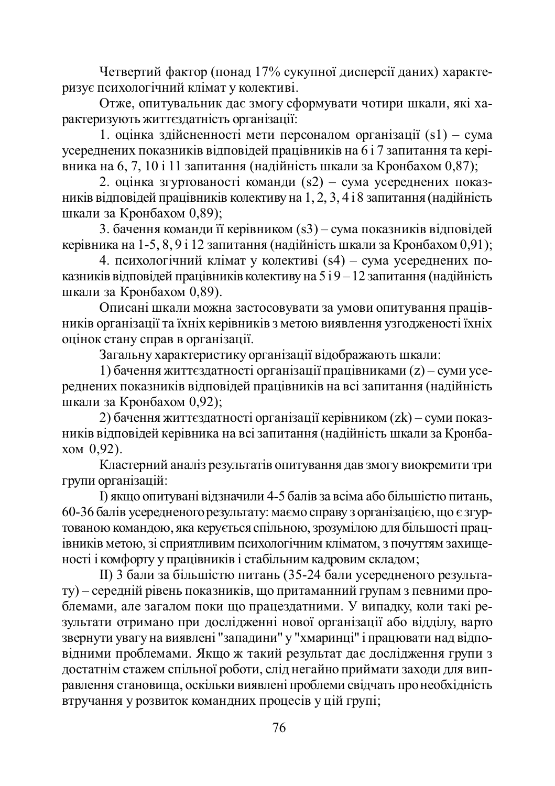Четвертий фактор (понад 17% сукупної дисперсії даних) характеризує психологічний клімат у колективі.

Отже, опитувальник дає змогу сформувати чотири шкали, які характеризують життєздатність організації:

1. оцінка здійсненності мети персоналом організації  $(s1)$  – сума усереднених показників відповідей працівників на 6 і 7 запитання та керівника на 6, 7, 10 і 11 запитання (надійність шкали за Кронбахом 0,87);

2. оцінка згуртованості команди (s2) – сума усереднених показників відповідей працівників колективу на  $1, 2, 3, 4$  і 8 запитання (надійність шкали за Кронбахом 0,89);

3. бачення команди її керівником (s3) – сума показників відповідей керівника на 1-5, 8, 9 і 12 запитання (надійність шкали за Кронбахом 0,91);

4. психологічний клімат у колективі (s4) – сума усереднених показників вілповілей працівників колективу на 5 і 9 – 12 запитання (налійність шкали за Кронбахом 0,89).

Описані шкали можна застосовувати за умови опитування працівників організації та їхніх керівників з метою виявлення узгодженості їхніх оцінок стану справ в організації.

Загальну характеристику організації відображають шкали:

1) бачення життєздатності організації працівниками (z) – суми усереднених показників відповідей працівників на всі запитання (надійність пикали за Кронбахом 0,92);

2) бачення життєздатності організації керівником (zk) – суми показників відповідей керівника на всі запитання (надійність шкали за Кронба- $XOM$  0,92).

Кластерний аналіз результатів опитування дав змогу виокремити три групи організацій:

I) якщо опитувані відзначили 4-5 балів за всіма або більшістю питань, 60-36 балів усередненого результату: маємо справу з організацією, що є згуртованою командою, яка керується спільною, зрозумілою для більшості працівників метою, зі сприятливим психологічним кліматом, з почуттям захищеності і комфорту у працівників і стабільним кадровим складом;

II) 3 бали за більшістю питань (35-24 бали усередненого результату) – середній рівень показників, що притаманний групам з певними проблемами, але загалом поки що працездатними. У випадку, коли такі результати отримано при дослідженні нової організації або відділу, варто звернути увагу на виявлені "западини" у "хмаринці" і працювати над відповідними проблемами. Якщо ж такий результат дає дослідження групи з достатнім стажем спільної роботи, слід негайно приймати заходи для виправлення становища, оскільки виявлені проблеми свідчать про необхідність •<br>втручання у розвиток командних процесів у цій групі;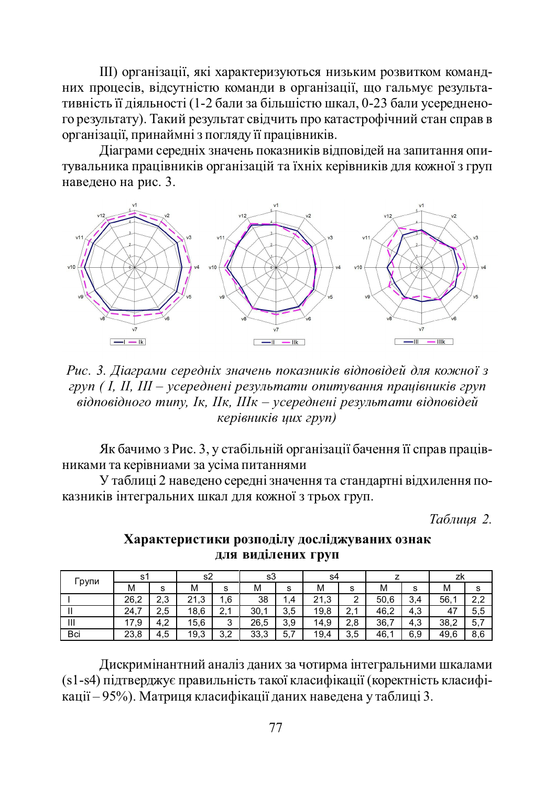Ш) організації, які характеризуються низьким розвитком командних процесів, відсутністю команди в організації, що гальмує результативність її діяльності (1-2 бали за більшістю шкал, 0-23 бали усередненого результату). Такий результат свідчить про катастрофічний стан справ в організації, принаймні з погляду її працівників.

Діаграми середніх значень показників відповідей на запитання опитувальника працівників організацій та їхніх керівників для кожної з груп навелено на рис. 3.



Рис. 3. Діаграми середніх значень показників відповідей для кожної з груп ( I, II, III – усереднені результати опитування працівників груп  $\vec{a}$ iдno $\vec{a}$ дного типу, Iк, IIк, IIIк – усереднені результати відповідей *ɤɟɪɿɜɧɢɤɿɜɰɢɯɝɪɭɩ)*

Як бачимо з Рис. 3, у стабільній організації бачення її справ працівниками та керівниами за усіма питаннями

У таблиці 2 наведено середні значення та стандартні відхилення показників інтегральних шкал для кожної з трьох груп.

 $Ta6$ лиия 2.

| <b>Групи</b> | -s1  |           | s2   |               | s3   |         | s4               |                   |      |     | zĸ            |     |
|--------------|------|-----------|------|---------------|------|---------|------------------|-------------------|------|-----|---------------|-----|
|              | М    | s         | М    | s             | м    | s       | м                | s                 | м    | s   | м             | s   |
|              | 26,2 | つっ<br>ں.ے | 21.3 | . 6           | 38   | $\cdot$ | 21<br>$\cdot$ .3 | ∸                 | 50,6 | 3.4 | $56,^{\circ}$ | າາ  |
|              | 24.7 | 2.5       | 18.6 | C<br><u>.</u> | 30.7 | 3.5     | 19,8             | 21<br><b>4, I</b> | 46.2 | 4.3 | 47            | 5.5 |
| Ш            | 17,9 | 4.2       | 15.6 | ົ<br>ບ        | 26.5 | 3,9     | 14,9             | 2.8               | 36.7 | 4,3 | 38,2          | 5,7 |
| Bci          | 23,8 | 4.5       | 19,3 | 3.2           | 33.3 | 5,7     | 19,4             | 3.5               | 46,  | 6,9 | 49,6          | 8.6 |

### **ɏɚɪɚɤɬɟɪɢɫɬɢɤɢɪɨɡɩɨɞɿɥɭɞɨɫɥɿɞɠɭɜɚɧɢɯɨɡɧɚɤ ДЛЯ ВИДІЛЕНИХ ГРУП**

Дискримінантний аналіз даних за чотирма інтегральними шкалами (s1-s4) підтверджує правильність такої класифікації (коректність класифікації – 95%). Матриця класифікації даних наведена у таблиці 3.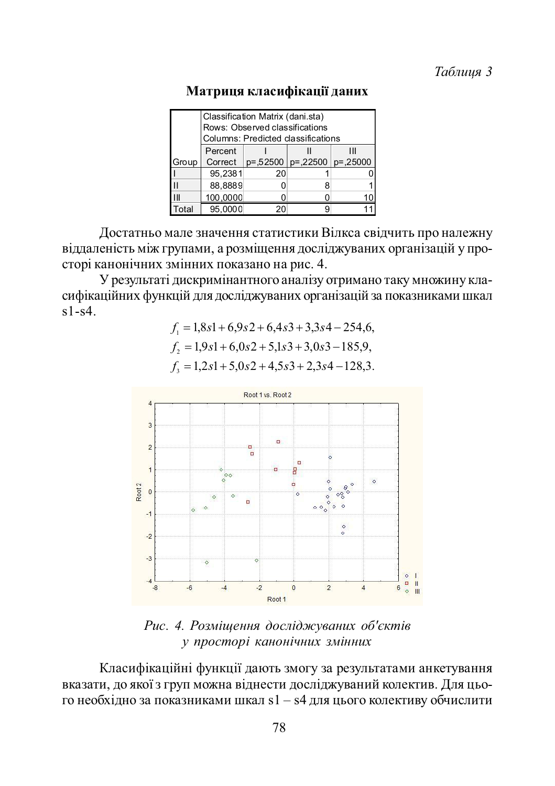|              | Classification Matrix (dani.sta)<br>Rows: Observed classifications<br>Columns: Predicted classifications |                                      |   |    |  |  |  |
|--------------|----------------------------------------------------------------------------------------------------------|--------------------------------------|---|----|--|--|--|
|              | Percent                                                                                                  |                                      |   |    |  |  |  |
| Group        |                                                                                                          | Correct $ p=52500 p=.22500 p=.25000$ |   |    |  |  |  |
|              | 95.2381                                                                                                  | 20                                   |   |    |  |  |  |
| $\mathbf{H}$ | 88.8889                                                                                                  |                                      | 8 |    |  |  |  |
| $\mathsf{I}$ | 100,0000                                                                                                 |                                      |   | 10 |  |  |  |
| Total        | 95.0000                                                                                                  |                                      |   |    |  |  |  |

## Матриця класифікації даних

Достатньо мале значення статистики Вілкса свідчить про належну віддаленість між групами, а розміщення досліджуваних організацій у просторі канонічних змінних показано на рис. 4.

У результаті дискримінантного аналізу отримано таку множину класифікаційних функцій для досліджуваних організацій за показниками шкал  $s1-s4$ .

$$
f_1 = 1,8s1 + 6,9s2 + 6,4s3 + 3,3s4 - 254,6,
$$
  
\n
$$
f_2 = 1,9s1 + 6,0s2 + 5,1s3 + 3,0s3 - 185,9,
$$
  
\n
$$
f_3 = 1,2s1 + 5,0s2 + 4,5s3 + 2,3s4 - 128,3.
$$



Рис. 4. Розміщення досліджуваних об'єктів  $$ 

Класифікаційні функції дають змогу за результатами анкетування вказати, до якої з груп можна віднести досліджуваний колектив. Для цього необхідно за показниками шкал s1 – s4 для цього колективу обчислити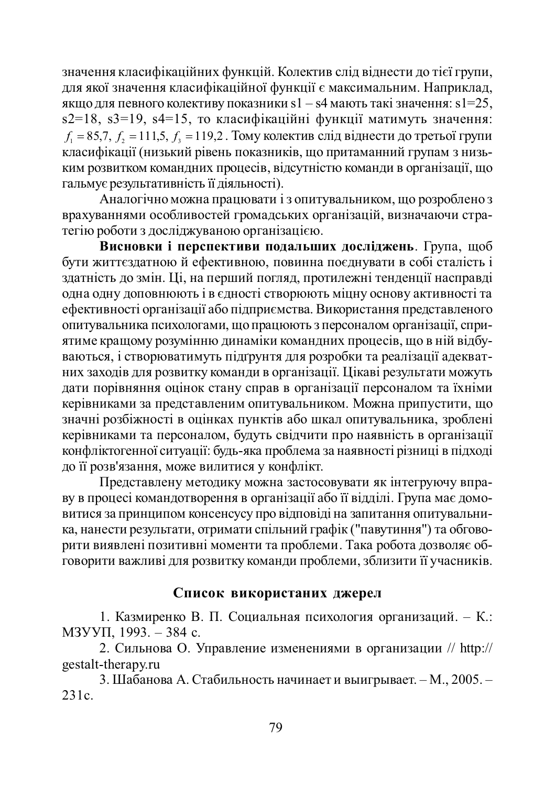значення класифікаційних функцій. Колектив слід віднести до тієї групи, для якої значення класифікаційної функції є максимальним. Наприклад, якщо для певного колективу показники s1 – s4 мають такі значення: s1=25, s2=18, s3=19, s4=15, то класифікаційні функції матимуть значення:  $f_1 = 85.7, f_2 = 111.5, f_3 = 119.2$ . Тому колектив слід віднести до третьої групи класифікації (низький рівень показників, що притаманний групам з низьким розвитком командних процесів, відсутністю команди в організації, що гальмує результативність її діяльності).

Аналогічно можна працювати і з опитувальником, що розроблено з врахуваннями особливостей громадських організацій, визначаючи стра-Terito роботи з досліджуваною організацією.

**•**<br>**Висновки і перспективи подальших досліджень**. Група, щоб бути життєздатною й ефективною, повинна поєднувати в собі сталість і здатність до змін. Ці, на перший погляд, протилежні тенденції насправді одна одну доповнюють і в єдності створюють міцну основу активності та ефективності організації або підприємства. Використання представленого ɨɩɢɬɭɜɚɥɶɧɢɤɚɩɫɢɯɨɥɨɝɚɦɢ, ɳɨɩɪɚɰɸɸɬɶɡɩɟɪɫɨɧɚɥɨɦɨɪɝɚɧɿɡɚɰɿʀ, ɫɩɪɢятиме кращому розумінню динаміки командних процесів, що в ній відбуваються, і створюватимуть підгрунтя для розробки та реалізації адекватних заходів для розвитку команди в організації. Цікаві результати можуть дати порівняння оцінок стану справ в організації персоналом та їхніми керівниками за представленим опитувальником. Можна припустити, що значні розбіжності в оцінках пунктів або шкал опитувальника, зроблені керівниками та персоналом, будуть свідчити про наявність в організації конфліктогенної ситуації: будь-яка проблема за наявності різниці в підході до її розв'язання, може вилитися у конфлікт.

Представлену методику можна застосовувати як інтегруючу вправу в процесі командотворення в організації або її відділі. Група має домовитися за принципом консенсусу про відповіді на запитання опитувальника, нанести результати, отримати спільний графік ("павутиння") та обговорити виявлені позитивні моменти та проблеми. Така робота дозволяє обговорити важливі для розвитку команди проблеми, зблизити її учасників.

## Список використаних джерел

1. Казмиренко В. П. Социальная психология организаций. – К.:  $M3$ yy $\Pi$ , 1993. – 384 c.

2. Сильнова О. Управление изменениями в организации // http:// gestalt-therapy.ru

3. Шабанова А. Стабильность начинает и выигрывает. – М., 2005. –  $231c.$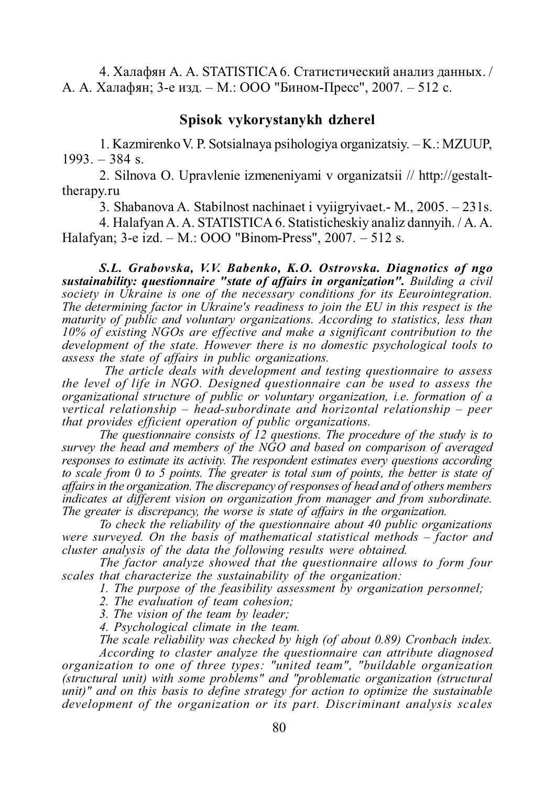4. Халафян А. А. STATISTICA 6. Статистический анализ данных. / А. А. Халафян; 3-е изд. – М.: ООО "Бином-Пресс", 2007. – 512 с.

### **Spisok vykorystanykh dzherel**

1. Kazmirenko V. P. Sotsialnaya psihologiya organizatsiy. – K.: MZUUP, 1993. – 384 s.

2. Silnova O. Upravlenie izmeneniyami v organizatsii // http://gestalttherapy.ru

3. Shabanova A. Stabilnost nachinaet i vyiigryivaet.- M., 2005. – 231s.

4. Halafyan A. A. STATISTICA 6. Statisticheskiy analiz dannyih. / A. A. Halafyan; 3-e izd. – M.: OOO "Binom-Press", 2007. – 512 s.

*S.L. Grabovska, V.V. Babenko, K.O. Ostrovska. Diagnotics of ngo sustainability: questionnaire "state of affairs in organization". Building a civil society in Ukraine is one of the necessary conditions for its Eeurointegration. The determining factor in Ukraine's readiness to join the EU in this respect is the maturity of public and voluntary organizations. According to statistics, less than 10% of existing NGOs are effective and make a significant contribution to the development of the state. However there is no domestic psychological tools to assess the state of affairs in public organizations.*

 *The article deals with development and testing questionnaire to assess the level of life in NGO. Designed questionnaire can be used to assess the organizational structure of public or voluntary organization, i.e. formation of a vertical relationship – head-subordinate and horizontal relationship – peer that provides efficient operation of public organizations.*

*The questionnaire consists of 12 questions. The procedure of the study is to survey the head and members of the NGO and based on comparison of averaged responses to estimate its activity. The respondent estimates every questions according to scale from 0 to 5 points. The greater is total sum of points, the better is state of affairs in the organization. The discrepancy of responses of head and of others members indicates at different vision on organization from manager and from subordinate. The greater is discrepancy, the worse is state of affairs in the organization.*

*To check the reliability of the questionnaire about 40 public organizations were surveyed. On the basis of mathematical statistical methods – factor and cluster analysis of the data the following results were obtained.*

*The factor analyze showed that the questionnaire allows to form four scales that characterize the sustainability of the organization:*

*1. The purpose of the feasibility assessment by organization personnel;*

*2. The evaluation of team cohesion;*

*3. The vision of the team by leader;*

*4. Psychological climate in the team.*

*The scale reliability was checked by high (of about 0.89) Cronbach index. According to claster analyze the questionnaire can attribute diagnosed organization to one of three types: "united team", "buildable organization (structural unit) with some problems" and "problematic organization (structural unit)" and on this basis to define strategy for action to optimize the sustainable development of the organization or its part. Discriminant analysis scales*